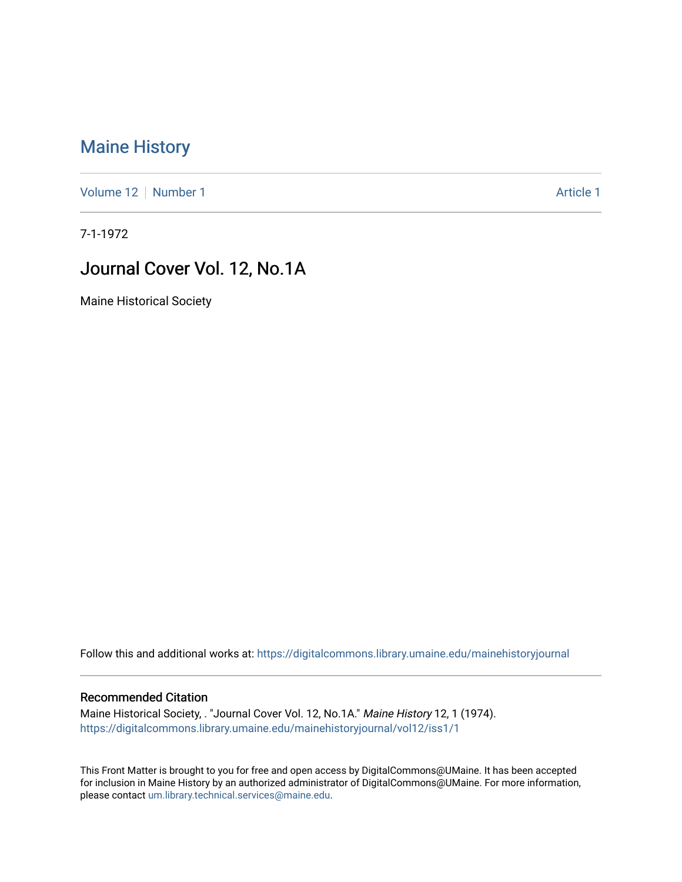## [Maine History](https://digitalcommons.library.umaine.edu/mainehistoryjournal)

[Volume 12](https://digitalcommons.library.umaine.edu/mainehistoryjournal/vol12) [Number 1](https://digitalcommons.library.umaine.edu/mainehistoryjournal/vol12/iss1) Article 1

7-1-1972

## Journal Cover Vol. 12, No.1A

Maine Historical Society

Follow this and additional works at: [https://digitalcommons.library.umaine.edu/mainehistoryjournal](https://digitalcommons.library.umaine.edu/mainehistoryjournal?utm_source=digitalcommons.library.umaine.edu%2Fmainehistoryjournal%2Fvol12%2Fiss1%2F1&utm_medium=PDF&utm_campaign=PDFCoverPages) 

## Recommended Citation

Maine Historical Society, . "Journal Cover Vol. 12, No.1A." Maine History 12, 1 (1974). [https://digitalcommons.library.umaine.edu/mainehistoryjournal/vol12/iss1/1](https://digitalcommons.library.umaine.edu/mainehistoryjournal/vol12/iss1/1?utm_source=digitalcommons.library.umaine.edu%2Fmainehistoryjournal%2Fvol12%2Fiss1%2F1&utm_medium=PDF&utm_campaign=PDFCoverPages)

This Front Matter is brought to you for free and open access by DigitalCommons@UMaine. It has been accepted for inclusion in Maine History by an authorized administrator of DigitalCommons@UMaine. For more information, please contact [um.library.technical.services@maine.edu.](mailto:um.library.technical.services@maine.edu)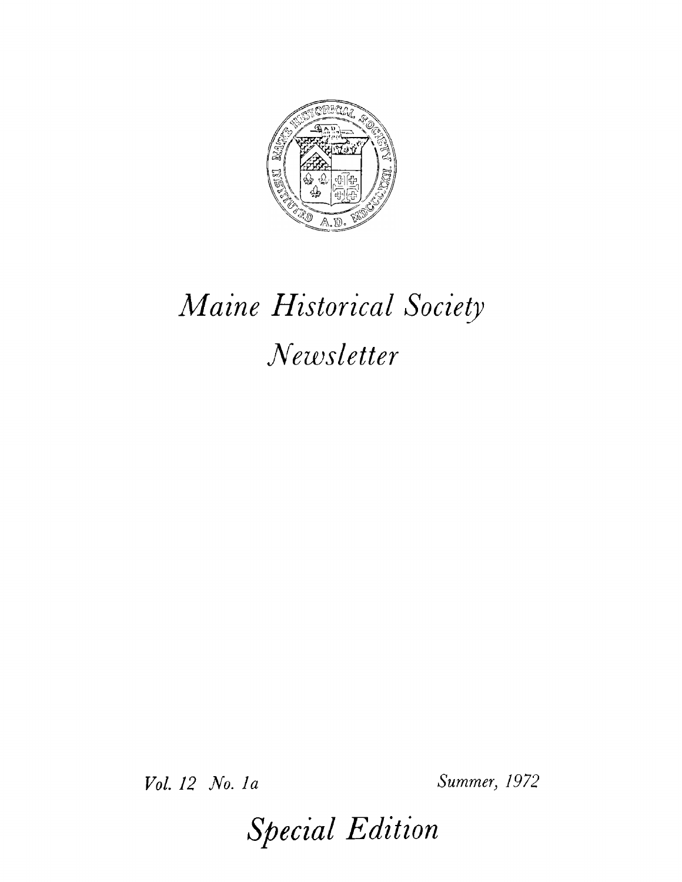

## *Maine Historical Society Newsletter*

*Vol. 12 No. la Summer, 1972*

*Special Edition*